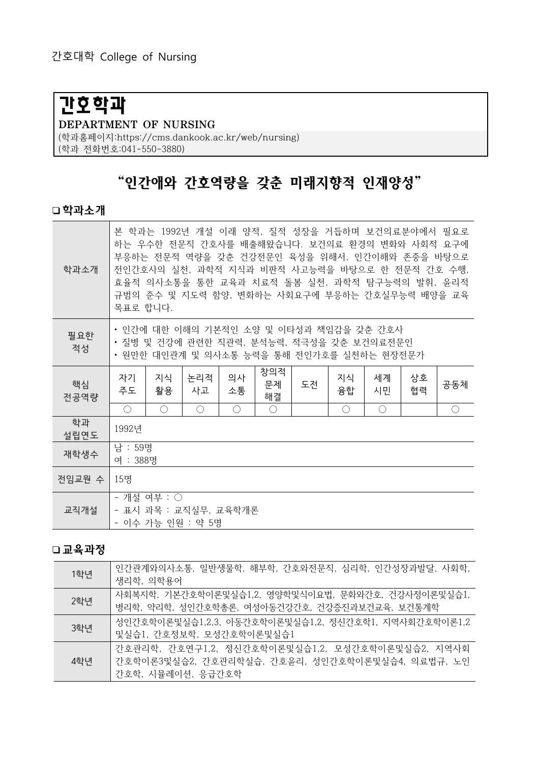# 간호학과

#### DEPARTMENT OF NURSING

(학과홈페이지:https://cms.dankook.ac.kr/web/nursing) (학과 전화번호:041-550-3880)

## "인간애와 간호역량을 갖춘 미래지향적 인재양성"

#### 학과소개

| 학과소개       | 본 학과는 1992년 개설 이래 양적, 질적 성장을 거듭하며 보건의료분야에서 필요로<br>하는 우수한 전문직 간호사를 배출해왔습니다. 보건의료 환경의 변화와 사회적 요구에<br>부응하는 전문적 역량을 갖춘 건강전문인 육성을 위해서, 인간이해와 존중을 바탕으로<br>전인간호사의 실천, 과학적 지식과 비판적 사고능력을 바탕으로 한 전문적 간호 수행,<br>효율적 의사소통을 통한 교육과 치료적 돌봄 실천, 과학적 탐구능력의 발휘, 윤리적<br>규범의 준수 및 지도력 함양, 변화하는 사회요구에 부응하는 간호실무능력 배양을 교육<br>목표로 합니다. |                                             |           |          |                 |    |          |                                             |          |                                             |
|------------|-------------------------------------------------------------------------------------------------------------------------------------------------------------------------------------------------------------------------------------------------------------------------------------------------------------------|---------------------------------------------|-----------|----------|-----------------|----|----------|---------------------------------------------|----------|---------------------------------------------|
| 필요한<br>적성  | • 인간에 대한 이해의 기본적인 소양 및 이타성과 책임감을 갖춘 간호사<br>• 질병 및 건강에 관련한 직관력, 분석능력, 적극성을 갖춘 보건의료전문인<br>• 원만한 대인관계 및 의사소통 능력을 통해 전인가호를 실천하는 현장전문가                                                                                                                                                                                 |                                             |           |          |                 |    |          |                                             |          |                                             |
| 핵심<br>전공역량 | 자기<br>주도                                                                                                                                                                                                                                                                                                          | 지식<br>활용                                    | 논리적<br>사고 | 의사<br>소통 | 창의적<br>문제<br>해결 | 도전 | 지식<br>융합 | 세계<br>시민                                    | 상호<br>협력 | 공동체                                         |
|            | $\bigcirc$                                                                                                                                                                                                                                                                                                        | $\left(\begin{array}{c} \end{array}\right)$ | ◯         | ∩        | ◯               |    | ◯        | $\left(\begin{array}{c} \end{array}\right)$ |          | $\left(\begin{array}{c} \end{array}\right)$ |
| 학과<br>설립연도 | 1992년                                                                                                                                                                                                                                                                                                             |                                             |           |          |                 |    |          |                                             |          |                                             |
| 재학생수       | 남 : 59명<br>여 : 388명                                                                                                                                                                                                                                                                                               |                                             |           |          |                 |    |          |                                             |          |                                             |
| 전임교원 수     | 15명                                                                                                                                                                                                                                                                                                               |                                             |           |          |                 |    |          |                                             |          |                                             |
| 교직개설       | - 개설 여부 : ○<br>- 표시 과목 : 교직실무, 교육학개론<br>- 이수 가능 인원 : 약 5명                                                                                                                                                                                                                                                         |                                             |           |          |                 |    |          |                                             |          |                                             |

#### 교육과정

| 1학년 | 인간관계와의사소통, 일반생물학, 해부학, 간호와전문직, 심리학, 인간성장과발달, 사회학,<br>생리학, 의학용어                                                             |
|-----|----------------------------------------------------------------------------------------------------------------------------|
| 2학년 | 사회복지학, 기본간호학이론및실습1.2, 영양학및식이요법, 문화와간호, 건강사정이론및실습1,<br>병리학, 약리학, 성인간호학총론, 여성아동건강간호, 건강증진과보건교육, 보건통계학                        |
| 3학년 | 성인간호학이론및실습1,2,3, 아동간호학이론및실습1,2, 정신간호학1, 지역사회간호학이론1,2<br>및실습1, 간호정보학, 모성간호학이론및실습1                                           |
| 4학년 | 간호관리학, 간호연구1,2, 정신간호학이론및실습1,2, 모성간호학이론및실습2, 지역사회<br>│간호학이론3및실습2, 간호관리학실습, 간호윤리, 성인간호학이론및실습4, 의료법규, 노인<br>간호학, 시뮬레이션, 응급간호학 |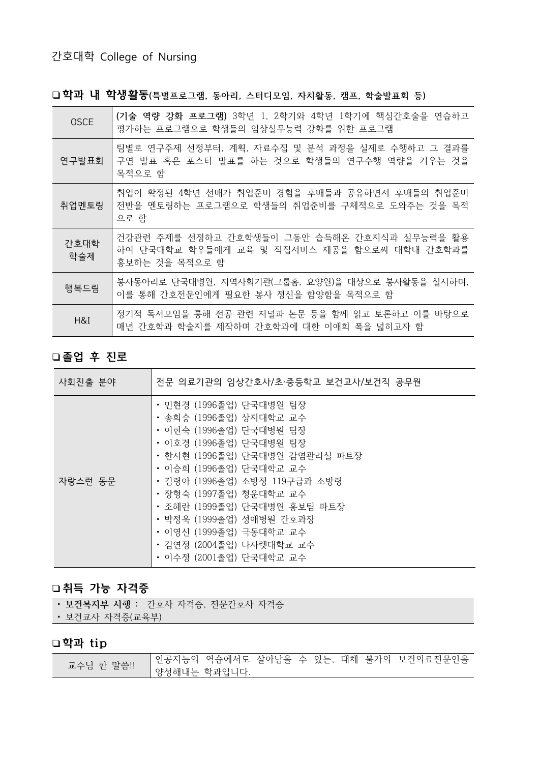## 간호대학 College of Nursing

□학과 내 학생활동(특별프로그램, 동아리, 스터디모임, 자치활동, 캠프, 학술발표회 등)

| <b>OSCE</b> | (기술 역량 강화 프로그램) 3학년 1, 2학기와 4학년 1학기에 핵심간호술을 연습하고<br>평가하는 프로그램으로 학생들의 임상실무능력 강화를 위한 프로그램                        |
|-------------|----------------------------------------------------------------------------------------------------------------|
| 연구발표회       | 팀별로 연구주제 선정부터, 계획, 자료수집 및 분석 과정을 실제로 수행하고 그 결과를<br>구연 발표 혹은 포스터 발표를 하는 것으로 학생들의 연구수행 역량을 키우는 것을<br>목적으로 함      |
| 취업멘토링       | 취업이 확정된 4학년 선배가 취업준비 경험을 후배들과 공유하면서 후배들의 취업준비<br>전반을 멘토링하는 프로그램으로 학생들의 취업준비를 구체적으로 도와주는 것을 목적<br>으로 함          |
| 간호대학<br>학술제 | 건강관련 주제를 선정하고 간호학생들이 그동안 습득해온 간호지식과 실무능력을 활용<br>하여 단국대학교 학우들에게 교육 및 직접서비스 제공을 함으로써 대학내 간호학과를<br>홍보하는 것을 목적으로 함 |
| 행복드림        | 봉사동아리로 단국대병원, 지역사회기관(그룹홈, 요양원)을 대상으로 봉사활동을 실시하며,<br>이를 통해 간호전문인에게 필요한 봉사 정신을 함양함을 목적으로 함                       |
| H&I         | 정기적 독서모임을 통해 전공 관련 저널과 논문 등을 함께 읽고 토론하고 이를 바탕으로<br>매년 간호학과 학술지를 제작하며 간호학과에 대한 이애희 폭을 넓히고자 함                    |

## 졸업 후 진로

| 사회진출 분야 | 전문 의료기관의 임상간호사/초·중등학교 보건교사/보건직 공무원                                                                                                                                                                                                                                                                                                                                              |
|---------|---------------------------------------------------------------------------------------------------------------------------------------------------------------------------------------------------------------------------------------------------------------------------------------------------------------------------------------------------------------------------------|
| 자랑스런 동문 | • 민현경 (1996졸업) 단국대병원 팀장<br>• 송희승 (1996졸업) 상지대학교 교수<br>• 이현숙 (1996졸업) 단국대병원 팀장<br>• 이호경 (1996졸업) 단국대병원 팀장<br>• 한시현 (1996졸업) 단국대병원 감염관리실 파트장<br>• 이승희 (1996졸업) 단국대학교 교수<br>• 김령아 (1996졸업) 소방청 119구급과 소방령<br>• 장형숙 (1997졸업) 청운대학교 교수<br>• 조혜란 (1999졸업) 단국대병원 홍보팀 파트장<br>• 박정욱 (1999졸업) 성애병원 간호과장<br>• 이영신 (1999졸업) 극동대학교 교수<br>• 김연정 (2004졸업) 나사렛대학교 교수<br>• 이수정 (2001졸업) 단국대학교 교수 |

#### 취득 가능 자격증

| • 보건복지부 시행 : 간호사 자격증, 전문간호사 자격증 |  |  |  |  |
|---------------------------------|--|--|--|--|
|---------------------------------|--|--|--|--|

• 보건교사 자격증(교육부)

## 학과 tip

| 교수님 한 말씀 !! |                           |  |  |  | 인공지능의 역습에서도 살아남을 수 있는, 대체 불가의 보건의료전문인을 |
|-------------|---------------------------|--|--|--|----------------------------------------|
|             | <sup>!</sup> 양성해내는 학과입니다. |  |  |  |                                        |